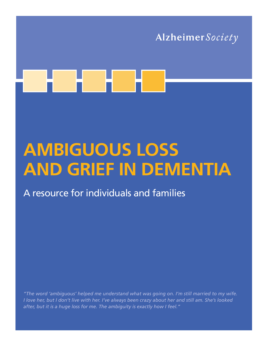

# **AMBIGUOUS LOSS AND GRIEF IN DEMENTIA**

A resource for individuals and families

*"The word 'ambiguous' helped me understand what was going on. I'm still married to my wife. I love her, but I don't live with her. I've always been crazy about her and still am. She's looked after, but it is a huge loss for me. The ambiguity is exactly how I feel."*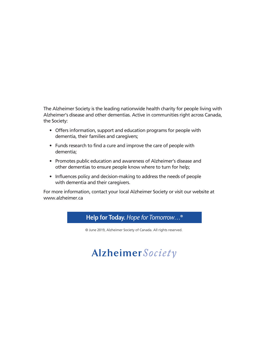The Alzheimer Society is the leading nationwide health charity for people living with Alzheimer's disease and other dementias. Active in communities right across Canada, the Society:

- Offers information, support and education programs for people with dementia, their families and caregivers;
- Funds research to find a cure and improve the care of people with dementia;
- Promotes public education and awareness of Alzheimer's disease and other dementias to ensure people know where to turn for help;
- Influences policy and decision-making to address the needs of people with dementia and their caregivers.

For more information, contact your local Alzheimer Society or visit our website at www.alzheimer.ca



© June 2019, Alzheimer Society of Canada. All rights reserved.

# Alzheimer Society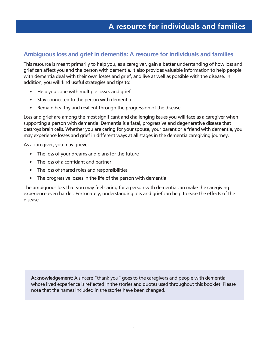#### **Ambiguous loss and grief in dementia: A resource for individuals and families**

This resource is meant primarily to help you, as a caregiver, gain a better understanding of how loss and grief can affect you and the person with dementia. It also provides valuable information to help people with dementia deal with their own losses and grief, and live as well as possible with the disease. In addition, you will find useful strategies and tips to:

- Help you cope with multiple losses and grief
- Stay connected to the person with dementia
- Remain healthy and resilient through the progression of the disease

Loss and grief are among the most significant and challenging issues you will face as a caregiver when supporting a person with dementia. Dementia is a fatal, progressive and degenerative disease that destroys brain cells. Whether you are caring for your spouse, your parent or a friend with dementia, you may experience losses and grief in different ways at all stages in the dementia caregiving journey.

As a caregiver, you may grieve:

- The loss of your dreams and plans for the future
- The loss of a confidant and partner
- The loss of shared roles and responsibilities
- The progressive losses in the life of the person with dementia

The ambiguous loss that you may feel caring for a person with dementia can make the caregiving experience even harder. Fortunately, understanding loss and grief can help to ease the effects of the disease.

**Acknowledgement:** A sincere "thank you" goes to the caregivers and people with dementia whose lived experience is reflected in the stories and quotes used throughout this booklet. Please note that the names included in the stories have been changed.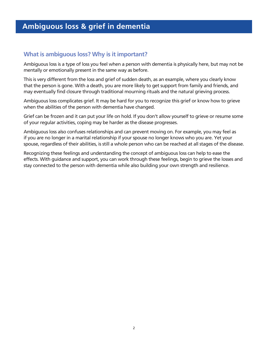#### **What is ambiguous loss? Why is it important?**

Ambiguous loss is a type of loss you feel when a person with dementia is physically here, but may not be mentally or emotionally present in the same way as before.

This is very different from the loss and grief of sudden death, as an example, where you clearly know that the person is gone. With a death, you are more likely to get support from family and friends, and may eventually find closure through traditional mourning rituals and the natural grieving process.

Ambiguous loss complicates grief. It may be hard for you to recognize this grief or know how to grieve when the abilities of the person with dementia have changed.

Grief can be frozen and it can put your life on hold. If you don't allow yourself to grieve or resume some of your regular activities, coping may be harder as the disease progresses.

Ambiguous loss also confuses relationships and can prevent moving on. For example, you may feel as if you are no longer in a marital relationship if your spouse no longer knows who you are. Yet your spouse, regardless of their abilities, is still a whole person who can be reached at all stages of the disease.

Recognizing these feelings and understanding the concept of ambiguous loss can help to ease the effects. With guidance and support, you can work through these feelings, begin to grieve the losses and stay connected to the person with dementia while also building your own strength and resilience.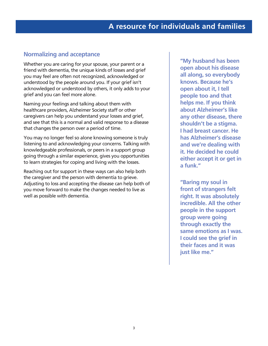#### **Normalizing and acceptance**

Whether you are caring for your spouse, your parent or a friend with dementia, the unique kinds of losses and grief you may feel are often not recognized, acknowledged or understood by the people around you. If your grief isn't acknowledged or understood by others, it only adds to your grief and you can feel more alone.

Naming your feelings and talking about them with healthcare providers, Alzheimer Society staff or other caregivers can help you understand your losses and grief, and see that this is a normal and valid response to a disease that changes the person over a period of time.

You may no longer feel so alone knowing someone is truly listening to and acknowledging your concerns. Talking with knowledgeable professionals, or peers in a support group going through a similar experience, gives you opportunities to learn strategies for coping and living with the losses.

Reaching out for support in these ways can also help both the caregiver and the person with dementia to grieve. Adjusting to loss and accepting the disease can help both of you move forward to make the changes needed to live as well as possible with dementia.

**"My husband has been open about his disease all along, so everybody knows. Because he's open about it, I tell people too and that helps me. If you think about Alzheimer's like any other disease, there shouldn't be a stigma. I had breast cancer. He has Alzheimer's disease and we're dealing with it. He decided he could either accept it or get in a funk."** 

**"Baring my soul in front of strangers felt right. It was absolutely incredible. All the other people in the support group were going through exactly the same emotions as I was. I could see the grief in their faces and it was just like me."**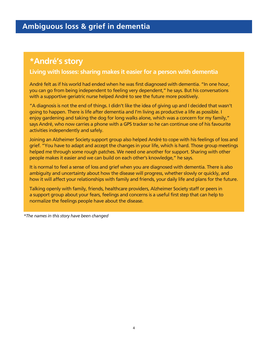# **\*André's story**

#### **Living with losses: sharing makes it easier for a person with dementia**

André felt as if his world had ended when he was first diagnosed with dementia. "In one hour, you can go from being independent to feeling very dependent," he says. But his conversations with a supportive geriatric nurse helped André to see the future more positively.

"A diagnosis is not the end of things. I didn't like the idea of giving up and I decided that wasn't going to happen. There is life after dementia and I'm living as productive a life as possible. I enjoy gardening and taking the dog for long walks alone, which was a concern for my family," says André, who now carries a phone with a GPS tracker so he can continue one of his favourite activities independently and safely.

Joining an Alzheimer Society support group also helped André to cope with his feelings of loss and grief. "You have to adapt and accept the changes in your life, which is hard. Those group meetings helped me through some rough patches. We need one another for support. Sharing with other people makes it easier and we can build on each other's knowledge," he says.

It is normal to feel a sense of loss and grief when you are diagnosed with dementia. There is also ambiguity and uncertainty about how the disease will progress, whether slowly or quickly, and how it will affect your relationships with family and friends, your daily life and plans for the future.

Talking openly with family, friends, healthcare providers, Alzheimer Society staff or peers in a support group about your fears, feelings and concerns is a useful first step that can help to normalize the feelings people have about the disease.

*\*The names in this story have been changed*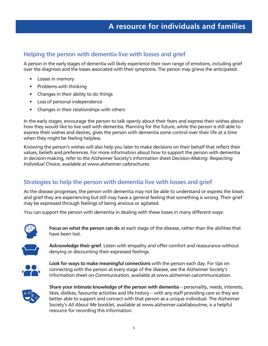#### **Helping the person with dementia live with losses and grief**

A person in the early stages of dementia will likely experience their own range of emotions, including grief over the diagnosis and the losses associated with their symptoms. The person may grieve the anticipated:

- Losses in memory
- Problems with thinking
- Changes in their ability to do things
- Loss of personal independence
- Changes in their relationships with others

In the early stages, encourage the person to talk openly about their fears and express their wishes about how they would like to live well with dementia. Planning for the future, while the person is still able to express their wishes and desires, gives the person with dementia some control over their life at a time when they might be feeling helpless.

Knowing the person's wishes will also help you later to make decisions on their behalf that reflect their values, beliefs and preferences. For more information about how to support the person with dementia in decision-making, refer to the Alzheimer Society's information sheet *Decision-Making: Respecting Individual Choice*, available at www.alzheimer.ca/brochures.

#### **Strategies to help the person with dementia live with losses and grief**

As the disease progresses, the person with dementia may not be able to understand or express the losses and grief they are experiencing but still may have a general feeling that something is wrong. Their grief may be expressed through feelings of being anxious or agitated.

You can support the person with dementia in dealing with these losses in many different ways:



**Focus on what the person can do** at each stage of the disease, rather than the abilities that have been lost.



**Acknowledge their grief**. Listen with empathy and offer comfort and reassurance without denying or discounting their expressed feelings.



**Look for ways to make meaningful connections** with the person each day. For tips on connecting with the person at every stage of the disease, see the Alzheimer Society's information sheet on *Communication*, available at www.alzheimer.ca/communication.



**Share your intimate knowledge of the person with dementia** – personality, needs, interests, likes, dislikes, favourite activities and life history – with any staff providing care so they are better able to support and connect with that person as a unique individual. The Alzheimer Society's *All About Me* booklet, available at www.alzheimer.ca/allaboutme, is a helpful resource for recording this information.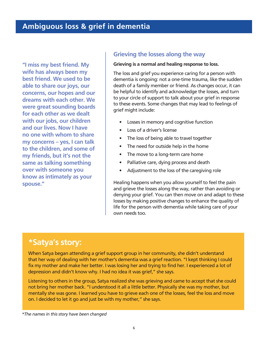**"I miss my best friend. My wife has always been my best friend. We used to be able to share our joys, our concerns, our hopes and our dreams with each other. We were great sounding boards for each other as we dealt with our jobs, our children and our lives. Now I have no one with whom to share my concerns – yes, I can talk to the children, and some of my friends, but it's not the same as talking something over with someone you know as intimately as your spouse."** 

#### **Grieving the losses along the way**

#### **Grieving is a normal and healing response to loss.**

The loss and grief you experience caring for a person with dementia is ongoing: not a one-time trauma, like the sudden death of a family member or friend. As changes occur, it can be helpful to identify and acknowledge the losses, and turn to your circle of support to talk about your grief in response to these events. Some changes that may lead to feelings of grief might include:

- Losses in memory and cognitive function
- Loss of a driver's license
- The loss of being able to travel together
- The need for outside help in the home
- The move to a long-term care home
- Palliative care, dying process and death
- Adjustment to the loss of the caregiving role

Healing happens when you allow yourself to feel the pain and grieve the losses along the way, rather than avoiding or denying your grief. You can then move on and adapt to these losses by making positive changes to enhance the quality of life for the person with dementia while taking care of your own needs too.

### **\*Satya's story:**

When Satya began attending a grief support group in her community, she didn't understand that her way of dealing with her mother's dementia was a grief reaction. "I kept thinking I could fix my mother and make her better. I was losing her and trying to find her. I experienced a lot of depression and didn't know why. I had no idea it was grief," she says.

Listening to others in the group, Satya realized she was grieving and came to accept that she could not bring her mother back. "I understood it all a little better. Physically she was my mother, but mentally she was gone. I learned you have to grieve each one of the losses, feel the loss and move on. I decided to let it go and just be with my mother," she says.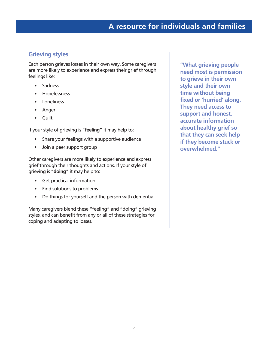#### **Grieving styles**

Each person grieves losses in their own way. Some caregivers are more likely to experience and express their grief through feelings like:

- **Sadness**
- Hopelessness
- **Loneliness**
- Anger
- Guilt

If your style of grieving is "**feeling**" it may help to:

- Share your feelings with a supportive audience
- Join a peer support group

Other caregivers are more likely to experience and express grief through their thoughts and actions. If your style of grieving is "**doing**" it may help to:

- Get practical information
- Find solutions to problems
- Do things for yourself and the person with dementia

Many caregivers blend these "feeling" and "doing" grieving styles, and can benefit from any or all of these strategies for coping and adapting to losses.

**"What grieving people need most is permission to grieve in their own style and their own time without being fixed or 'hurried' along. They need access to support and honest, accurate information about healthy grief so that they can seek help if they become stuck or overwhelmed."**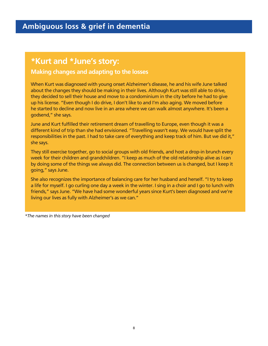# **\*Kurt and \*June's story:**

#### **Making changes and adapting to the losses**

When Kurt was diagnosed with young onset Alzheimer's disease, he and his wife June talked about the changes they should be making in their lives. Although Kurt was still able to drive, they decided to sell their house and move to a condominium in the city before he had to give up his license. "Even though I do drive, I don't like to and I'm also aging. We moved before he started to decline and now live in an area where we can walk almost anywhere. It's been a godsend," she says.

June and Kurt fulfilled their retirement dream of travelling to Europe, even though it was a different kind of trip than she had envisioned. "Travelling wasn't easy. We would have split the responsibilities in the past. I had to take care of everything and keep track of him. But we did it," she says.

They still exercise together, go to social groups with old friends, and host a drop-in brunch every week for their children and grandchildren. "I keep as much of the old relationship alive as I can by doing some of the things we always did. The connection between us is changed, but I keep it going," says June.

She also recognizes the importance of balancing care for her husband and herself. "I try to keep a life for myself. I go curling one day a week in the winter. I sing in a choir and I go to lunch with friends," says June. "We have had some wonderful years since Kurt's been diagnosed and we're living our lives as fully with Alzheimer's as we can."

*\*The names in this story have been changed*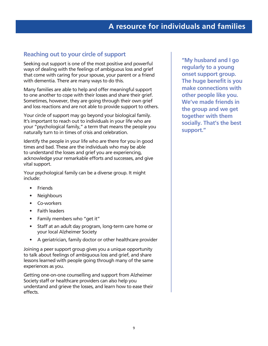#### **Reaching out to your circle of support**

Seeking out support is one of the most positive and powerful ways of dealing with the feelings of ambiguous loss and grief that come with caring for your spouse, your parent or a friend with dementia. There are many ways to do this.

Many families are able to help and offer meaningful support to one another to cope with their losses and share their grief. Sometimes, however, they are going through their own grief and loss reactions and are not able to provide support to others.

Your circle of support may go beyond your biological family. It's important to reach out to individuals in your life who are your "psychological family," a term that means the people you naturally turn to in times of crisis and celebration.

Identify the people in your life who are there for you in good times and bad. These are the individuals who may be able to understand the losses and grief you are experiencing, acknowledge your remarkable efforts and successes, and give vital support.

Your psychological family can be a diverse group. It might include:

- Friends
- Neighbours
- Co-workers
- Faith leaders
- Family members who "get it"
- Staff at an adult day program, long-term care home or your local Alzheimer Society
- A geriatrician, family doctor or other healthcare provider

Joining a peer support group gives you a unique opportunity to talk about feelings of ambiguous loss and grief, and share lessons learned with people going through many of the same experiences as you.

Getting one-on-one counselling and support from Alzheimer Society staff or healthcare providers can also help you understand and grieve the losses, and learn how to ease their effects.

**"My husband and I go regularly to a young onset support group. The huge benefit is you make connections with other people like you. We've made friends in the group and we get together with them socially. That's the best support."**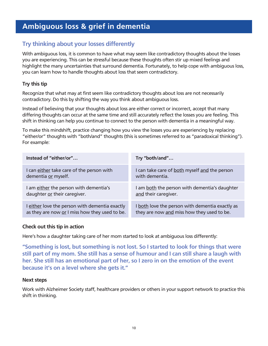## **Ambiguous loss & grief in dementia**

#### **Try thinking about your losses differently**

With ambiguous loss, it is common to have what may seem like contradictory thoughts about the losses you are experiencing. This can be stressful because these thoughts often stir up mixed feelings and highlight the many uncertainties that surround dementia. Fortunately, to help cope with ambiguous loss, you can learn how to handle thoughts about loss that seem contradictory.

#### **Try this tip**

Recognize that what may at first seem like contradictory thoughts about loss are not necessarily contradictory. Do this by shifting the way you think about ambiguous loss.

Instead of believing that your thoughts about loss are either correct or incorrect, accept that many differing thoughts can occur at the same time and still accurately reflect the losses you are feeling. This shift in thinking can help you continue to connect to the person with dementia in a meaningful way.

To make this mindshift, practice changing how you view the losses you are experiencing by replacing "either/or" thoughts with "both/and" thoughts (this is sometimes referred to as "paradoxical thinking"). For example:

| Instead of "either/or"                         | Try "both/and"                                  |
|------------------------------------------------|-------------------------------------------------|
| I can either take care of the person with      | I can take care of both myself and the person   |
| dementia or myself.                            | with dementia.                                  |
| I am either the person with dementia's         | I am both the person with dementia's daughter   |
| daughter or their caregiver.                   | and their caregiver.                            |
| I either love the person with dementia exactly | I both love the person with dementia exactly as |
| as they are now or I miss how they used to be. | they are now and miss how they used to be.      |

#### **Check out this tip in action**

Here's how a daughter taking care of her mom started to look at ambiguous loss differently:

**"Something is lost, but something is not lost. So I started to look for things that were still part of my mom. She still has a sense of humour and I can still share a laugh with her. She still has an emotional part of her, so I zero in on the emotion of the event because it's on a level where she gets it."** 

#### **Next steps**

Work with Alzheimer Society staff, healthcare providers or others in your support network to practice this shift in thinking.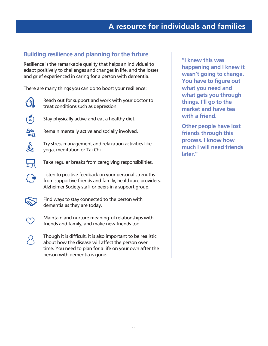#### **Building resilience and planning for the future**

Resilience is the remarkable quality that helps an individual to adapt positively to challenges and changes in life, and the losses and grief experienced in caring for a person with dementia.

There are many things you can do to boost your resilience:



Reach out for support and work with your doctor to treat conditions such as depression.



Stay physically active and eat a healthy diet.



Remain mentally active and socially involved.



Try stress management and relaxation activities like yoga, meditation or Tai Chi.



 $\overline{\mathcal{L}}^{(0)}$ 

Take regular breaks from caregiving responsibilities.

Listen to positive feedback on your personal strengths from supportive friends and family, healthcare providers, Alzheimer Society staff or peers in a support group.



Find ways to stay connected to the person with dementia as they are today.



Maintain and nurture meaningful relationships with friends and family, and make new friends too.

Though it is difficult, it is also important to be realistic about how the disease will affect the person over time. You need to plan for a life on your own after the person with dementia is gone.

**"I knew this was happening and I knew it wasn't going to change. You have to figure out what you need and what gets you through things. I'll go to the market and have tea with a friend.**

**Other people have lost friends through this process. I know how much I will need friends later."**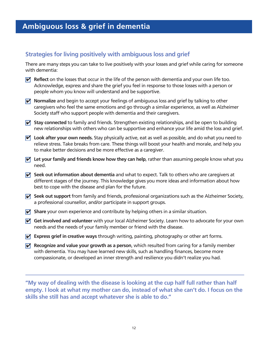#### **Strategies for living positively with ambiguous loss and grief**

There are many steps you can take to live positively with your losses and grief while caring for someone with dementia:

- $\blacktriangledown$  Reflect on the losses that occur in the life of the person with dementia and your own life too. Acknowledge, express and share the grief you feel in response to those losses with a person or people whom you know will understand and be supportive.
- **Normalize** and begin to accept your feelings of ambiguous loss and grief by talking to other caregivers who feel the same emotions and go through a similar experience, as well as Alzheimer Society staff who support people with dementia and their caregivers.
- Stay connected to family and friends. Strengthen existing relationships, and be open to building new relationships with others who can be supportive and enhance your life amid the loss and grief.
- Look after your own needs. Stay physically active, eat as well as possible, and do what you need to relieve stress. Take breaks from care. These things will boost your health and morale, and help you to make better decisions and be more effective as a caregiver.
- $\mathbf\vec{v}$  Let your family and friends know how they can help, rather than assuming people know what you need.
- Seek out information about dementia and what to expect. Talk to others who are caregivers at different stages of the journey. This knowledge gives you more ideas and information about how best to cope with the disease and plan for the future.
- Seek out support from family and friends, professional organizations such as the Alzheimer Society, a professional counsellor, and/or participate in support groups.
- Share your own experience and contribute by helping others in a similar situation.
- **Get involved and volunteer** with your local Alzheimer Society. Learn how to advocate for your own needs and the needs of your family member or friend with the disease.
- **Z** Express grief in creative ways through writing, painting, photography or other art forms.
- **Recognize and value your growth as a person**, which resulted from caring for a family member with dementia. You may have learned new skills, such as handling finances, become more compassionate, or developed an inner strength and resilience you didn't realize you had.

**"My way of dealing with the disease is looking at the cup half full rather than half empty. I look at what my mother can do, instead of what she can't do. I focus on the skills she still has and accept whatever she is able to do."**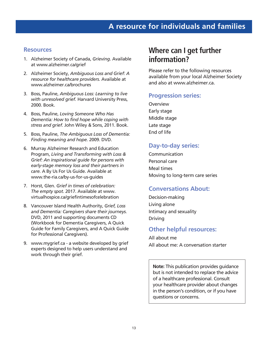#### **Resources**

- 1. Alzheimer Society of Canada, *Grieving*. Available at www.alzheimer.ca/grief
- 2. Alzheimer Society, *Ambiguous Loss and Grief: A resource for healthcare providers.* Available at www.alzheimer.ca/brochures
- 3. Boss, Pauline, *Ambiguous Loss: Learning to live with unresolved grief.* Harvard University Press, 2000. Book.
- 4. Boss, Pauline, *Loving Someone Who Has Dementia: How to find hope while coping with stress and grief.* John Wiley & Sons, 2011. Book.
- 5. Boss, Pauline, *The Ambiguous Loss of Dementia: Finding meaning and hope.* 2009. DVD.
- 6. Murray Alzheimer Research and Education Program, *Living and Transforming with Loss & Grief: An inspirational guide for persons with early-stage memory loss and their partners in care.* A By Us For Us Guide. Available at www.the-ria.ca/by-us-for-us-guides
- 7. Horst, Glen. *Grief in times of celebration: The empty spot.* 2017. Available at www. virtualhospice.ca/griefintimesofcelebration
- 8. Vancouver Island Health Authority, *Grief, Loss and Dementia: Caregivers share their journeys.* DVD, 2011 and supporting documents CD (Workbook for Dementia Caregivers, A Quick Guide for Family Caregivers, and A Quick Guide for Professional Caregivers).
- 9. www.mygrief.ca a website developed by grief experts designed to help users understand and work through their grief.

# **Where can I get further information?**

Please refer to the following resources available from your local Alzheimer Society and also at www.alzheimer.ca.

#### **Progression series:**

**Overview** Early stage Middle stage Late stage End of life

#### **Day-to-day series:**

Communication Personal care Meal times Moving to long-term care series

#### **Conversations About:**

Decision-making Living alone Intimacy and sexuality Driving

#### **Other helpful resources:**

All about me All about me: A conversation starter

**Note:** This publication provides guidance but is not intended to replace the advice of a healthcare professional. Consult your healthcare provider about changes in the person's condition, or if you have questions or concerns.